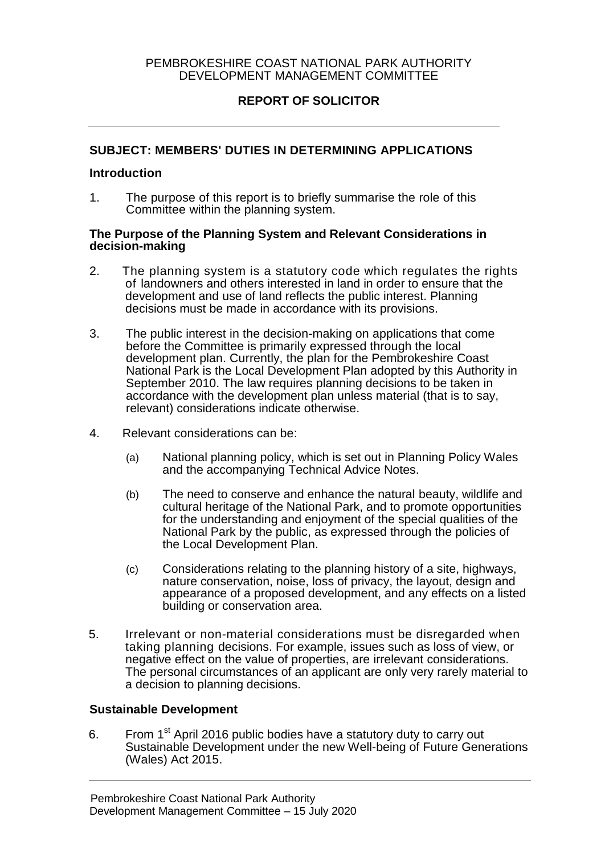### PEMBROKESHIRE COAST NATIONAL PARK AUTHORITY DEVELOPMENT MANAGEMENT COMMITTEE

# **REPORT OF SOLICITOR**

## **SUBJECT: MEMBERS' DUTIES IN DETERMINING APPLICATIONS**

#### **Introduction**

1. The purpose of this report is to briefly summarise the role of this Committee within the planning system.

#### **The Purpose of the Planning System and Relevant Considerations in decision-making**

- 2. The planning system is a statutory code which regulates the rights of landowners and others interested in land in order to ensure that the development and use of land reflects the public interest. Planning decisions must be made in accordance with its provisions.
- 3. The public interest in the decision-making on applications that come before the Committee is primarily expressed through the local development plan. Currently, the plan for the Pembrokeshire Coast National Park is the Local Development Plan adopted by this Authority in September 2010. The law requires planning decisions to be taken in accordance with the development plan unless material (that is to say, relevant) considerations indicate otherwise.
- 4. Relevant considerations can be:
	- (a) National planning policy, which is set out in Planning Policy Wales and the accompanying Technical Advice Notes.
	- (b) The need to conserve and enhance the natural beauty, wildlife and cultural heritage of the National Park, and to promote opportunities for the understanding and enjoyment of the special qualities of the National Park by the public, as expressed through the policies of the Local Development Plan.
	- (c) Considerations relating to the planning history of a site, highways, nature conservation, noise, loss of privacy, the layout, design and appearance of a proposed development, and any effects on a listed building or conservation area.
- 5. Irrelevant or non-material considerations must be disregarded when taking planning decisions. For example, issues such as loss of view, or negative effect on the value of properties, are irrelevant considerations. The personal circumstances of an applicant are only very rarely material to a decision to planning decisions.

#### **Sustainable Development**

6. From 1<sup>st</sup> April 2016 public bodies have a statutory duty to carry out Sustainable Development under the new Well-being of Future Generations (Wales) Act 2015.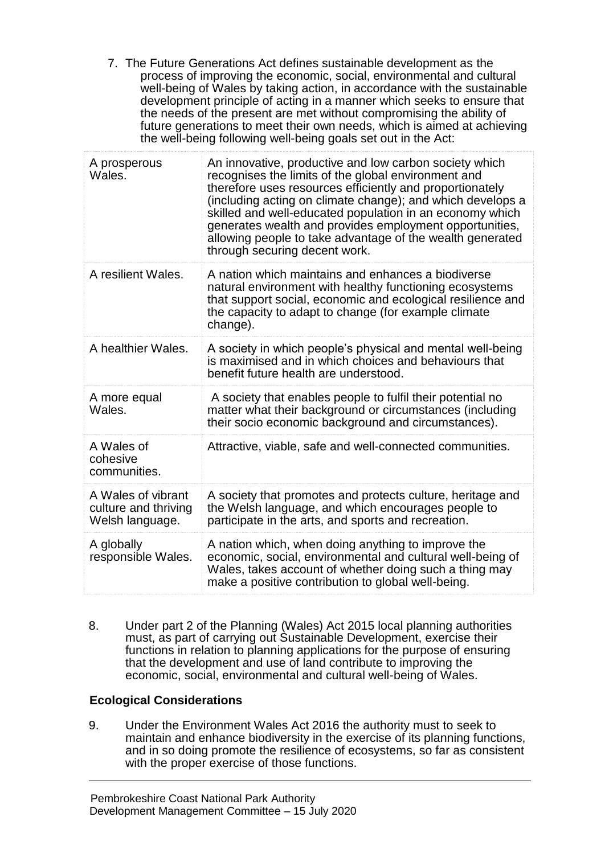7. The Future Generations Act defines sustainable development as the process of improving the economic, social, environmental and cultural well-being of Wales by taking action, in accordance with the sustainable development principle of acting in a manner which seeks to ensure that the needs of the present are met without compromising the ability of future generations to meet their own needs, which is aimed at achieving the well-being following well-being goals set out in the Act:

| A prosperous<br>Wales.                                        | An innovative, productive and low carbon society which<br>recognises the limits of the global environment and<br>therefore uses resources efficiently and proportionately<br>(including acting on climate change); and which develops a<br>skilled and well-educated population in an economy which<br>generates wealth and provides employment opportunities,<br>allowing people to take advantage of the wealth generated<br>through securing decent work. |
|---------------------------------------------------------------|--------------------------------------------------------------------------------------------------------------------------------------------------------------------------------------------------------------------------------------------------------------------------------------------------------------------------------------------------------------------------------------------------------------------------------------------------------------|
| A resilient Wales.                                            | A nation which maintains and enhances a biodiverse<br>natural environment with healthy functioning ecosystems<br>that support social, economic and ecological resilience and<br>the capacity to adapt to change (for example climate<br>change).                                                                                                                                                                                                             |
| A healthier Wales.                                            | A society in which people's physical and mental well-being<br>is maximised and in which choices and behaviours that<br>benefit future health are understood.                                                                                                                                                                                                                                                                                                 |
| A more equal<br>Wales.                                        | A society that enables people to fulfil their potential no<br>matter what their background or circumstances (including<br>their socio economic background and circumstances).                                                                                                                                                                                                                                                                                |
| A Wales of<br>cohesive<br>communities.                        | Attractive, viable, safe and well-connected communities.                                                                                                                                                                                                                                                                                                                                                                                                     |
| A Wales of vibrant<br>culture and thriving<br>Welsh language. | A society that promotes and protects culture, heritage and<br>the Welsh language, and which encourages people to<br>participate in the arts, and sports and recreation.                                                                                                                                                                                                                                                                                      |
| A globally<br>responsible Wales.                              | A nation which, when doing anything to improve the<br>economic, social, environmental and cultural well-being of<br>Wales, takes account of whether doing such a thing may<br>make a positive contribution to global well-being.                                                                                                                                                                                                                             |

8. Under part 2 of the Planning (Wales) Act 2015 local planning authorities must, as part of carrying out Sustainable Development, exercise their functions in relation to planning applications for the purpose of ensuring that the development and use of land contribute to improving the economic, social, environmental and cultural well-being of Wales.

# **Ecological Considerations**

9. Under the Environment Wales Act 2016 the authority must to seek to maintain and enhance biodiversity in the exercise of its planning functions, and in so doing promote the resilience of ecosystems, so far as consistent with the proper exercise of those functions.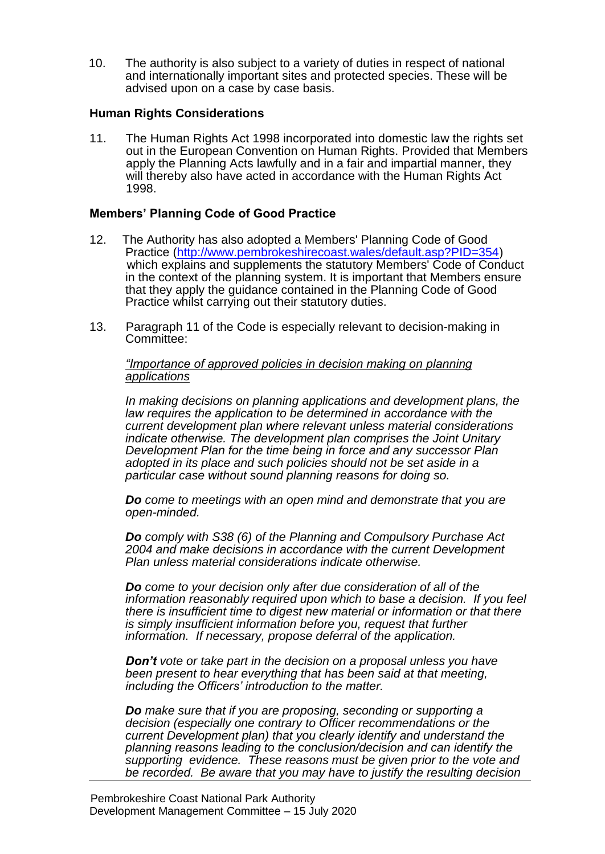10. The authority is also subject to a variety of duties in respect of national and internationally important sites and protected species. These will be advised upon on a case by case basis.

## **Human Rights Considerations**

11. The Human Rights Act 1998 incorporated into domestic law the rights set out in the European Convention on Human Rights. Provided that Members apply the Planning Acts lawfully and in a fair and impartial manner, they will thereby also have acted in accordance with the Human Rights Act 1998.

## **Members' Planning Code of Good Practice**

- 12. The Authority has also adopted a Members' Planning Code of Good Practice [\(http://www.pembrokeshirecoast.wales/default.asp?PID=354\)](http://www.pembrokeshirecoast.wales/default.asp?PID=354) which explains and supplements the statutory Members' Code of Conduct in the context of the planning system. It is important that Members ensure that they apply the guidance contained in the Planning Code of Good Practice whilst carrying out their statutory duties.
- 13. Paragraph 11 of the Code is especially relevant to decision-making in Committee:

*"Importance of approved policies in decision making on planning applications*

*In making decisions on planning applications and development plans, the law requires the application to be determined in accordance with the current development plan where relevant unless material considerations indicate otherwise. The development plan comprises the Joint Unitary Development Plan for the time being in force and any successor Plan adopted in its place and such policies should not be set aside in a particular case without sound planning reasons for doing so.*

*Do come to meetings with an open mind and demonstrate that you are open-minded.*

*Do comply with S38 (6) of the Planning and Compulsory Purchase Act 2004 and make decisions in accordance with the current Development Plan unless material considerations indicate otherwise.*

*Do come to your decision only after due consideration of all of the information reasonably required upon which to base a decision. If you feel there is insufficient time to digest new material or information or that there is simply insufficient information before you, request that further information. If necessary, propose deferral of the application.*

*Don't vote or take part in the decision on a proposal unless you have been present to hear everything that has been said at that meeting, including the Officers' introduction to the matter.*

*Do make sure that if you are proposing, seconding or supporting a decision (especially one contrary to Officer recommendations or the current Development plan) that you clearly identify and understand the planning reasons leading to the conclusion/decision and can identify the supporting evidence. These reasons must be given prior to the vote and be recorded. Be aware that you may have to justify the resulting decision*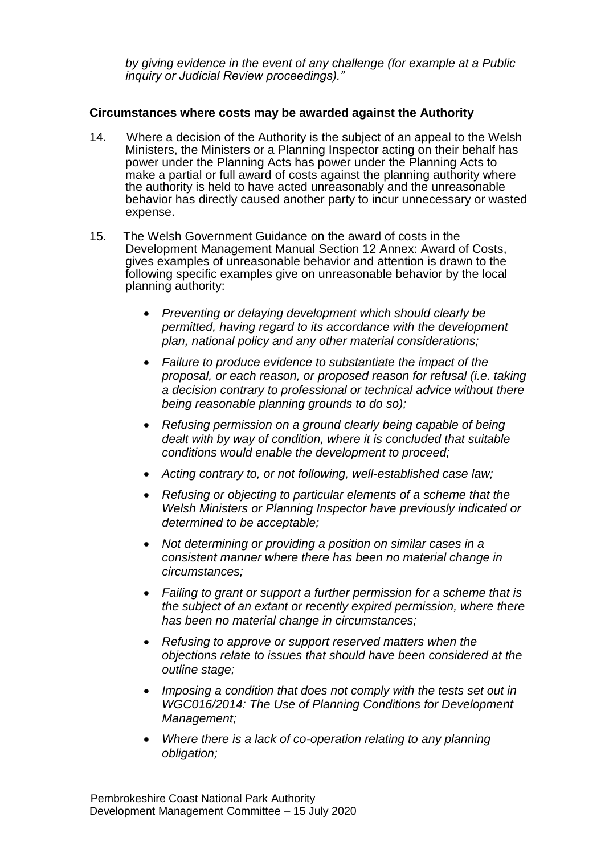*by giving evidence in the event of any challenge (for example at a Public inquiry or Judicial Review proceedings)."*

### **Circumstances where costs may be awarded against the Authority**

- 14. Where a decision of the Authority is the subject of an appeal to the Welsh Ministers, the Ministers or a Planning Inspector acting on their behalf has power under the Planning Acts has power under the Planning Acts to make a partial or full award of costs against the planning authority where the authority is held to have acted unreasonably and the unreasonable behavior has directly caused another party to incur unnecessary or wasted expense.
- 15. The Welsh Government Guidance on the award of costs in the Development Management Manual Section 12 Annex: Award of Costs, gives examples of unreasonable behavior and attention is drawn to the following specific examples give on unreasonable behavior by the local planning authority:
	- *Preventing or delaying development which should clearly be permitted, having regard to its accordance with the development plan, national policy and any other material considerations;*
	- *Failure to produce evidence to substantiate the impact of the proposal, or each reason, or proposed reason for refusal (i.e. taking a decision contrary to professional or technical advice without there being reasonable planning grounds to do so);*
	- *Refusing permission on a ground clearly being capable of being dealt with by way of condition, where it is concluded that suitable conditions would enable the development to proceed;*
	- *Acting contrary to, or not following, well-established case law;*
	- *Refusing or objecting to particular elements of a scheme that the Welsh Ministers or Planning Inspector have previously indicated or determined to be acceptable;*
	- *Not determining or providing a position on similar cases in a consistent manner where there has been no material change in circumstances;*
	- *Failing to grant or support a further permission for a scheme that is the subject of an extant or recently expired permission, where there has been no material change in circumstances;*
	- *Refusing to approve or support reserved matters when the objections relate to issues that should have been considered at the outline stage;*
	- *Imposing a condition that does not comply with the tests set out in WGC016/2014: The Use of Planning Conditions for Development Management;*
	- *Where there is a lack of co-operation relating to any planning obligation;*